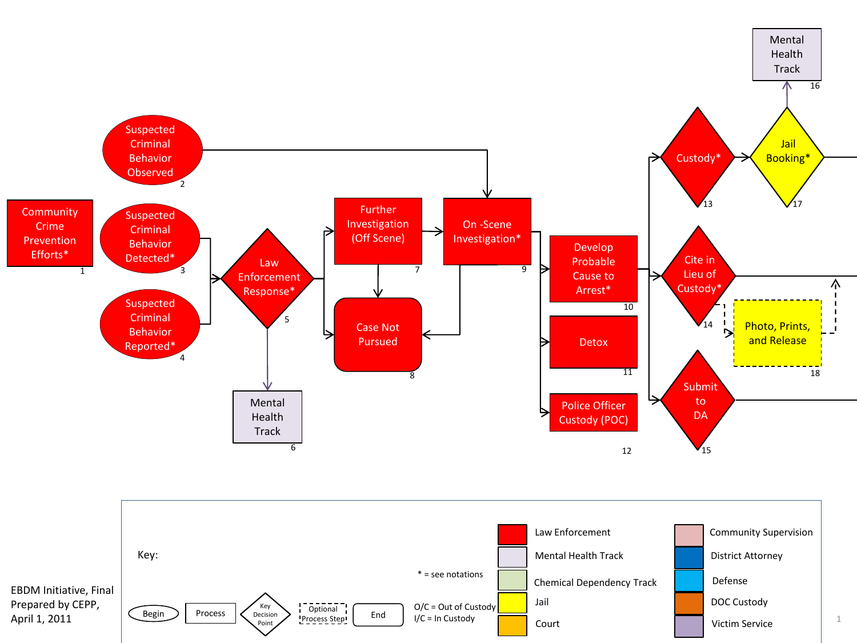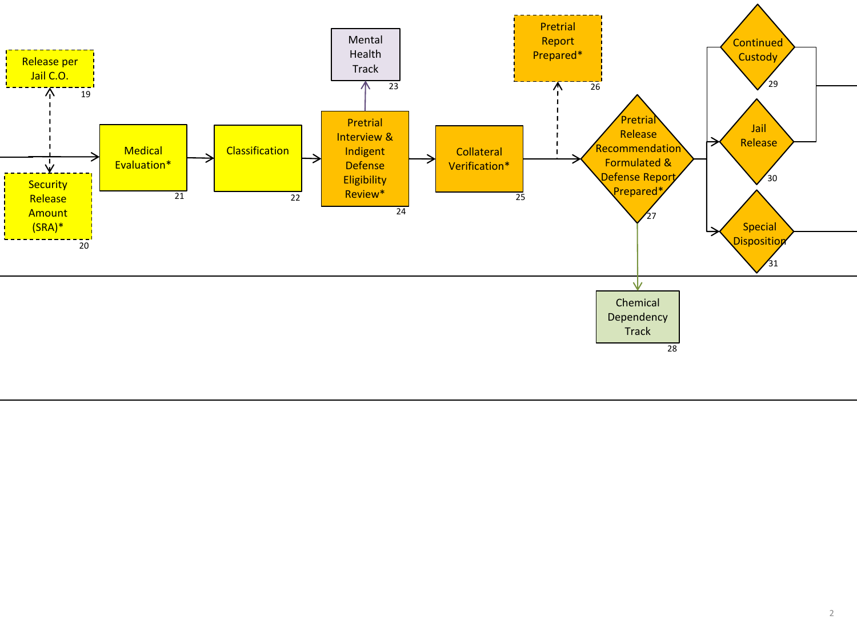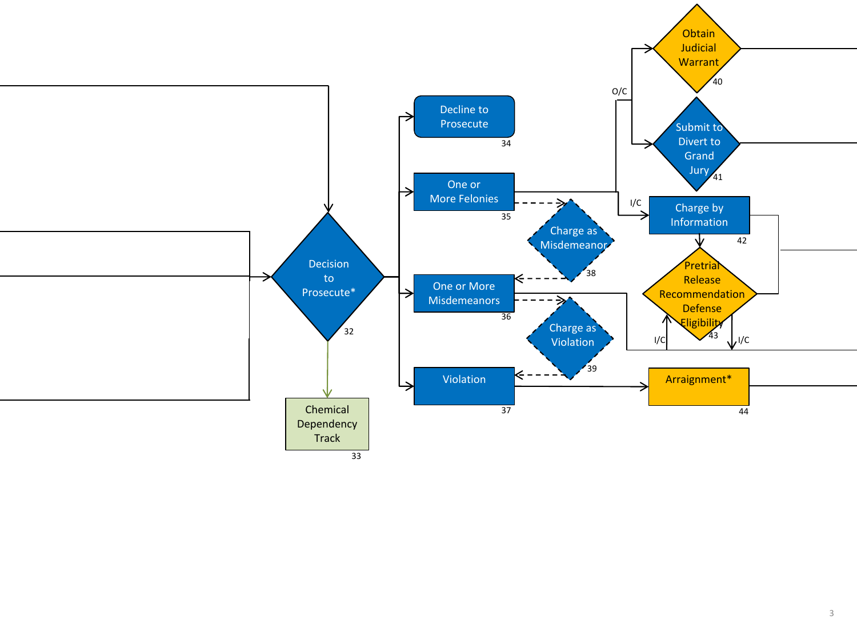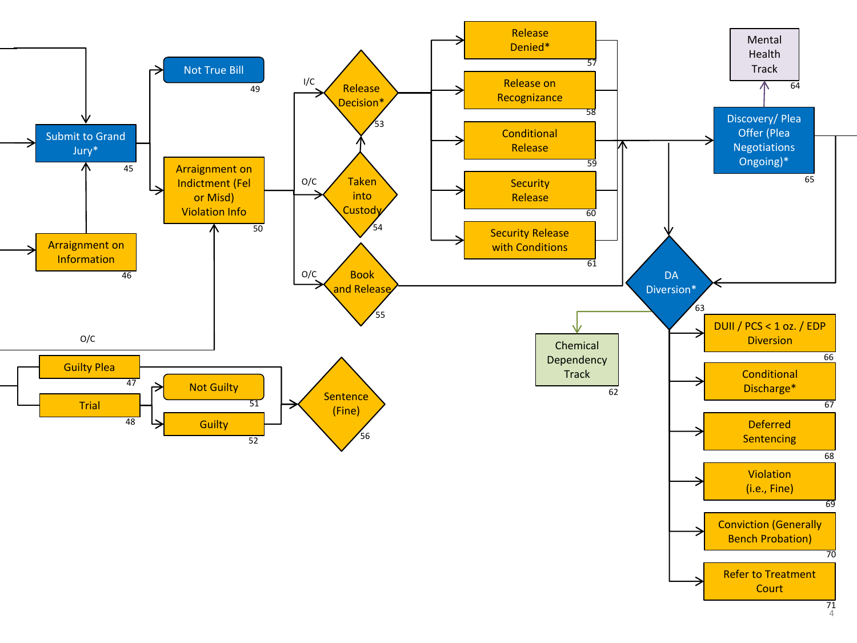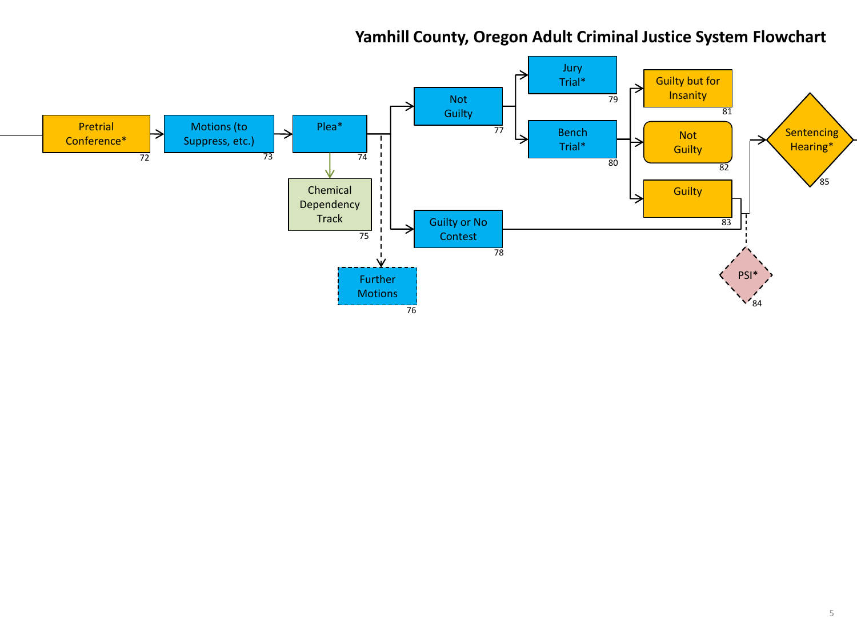## **Yamhill County, Oregon Adult Criminal Justice System Flowchart**

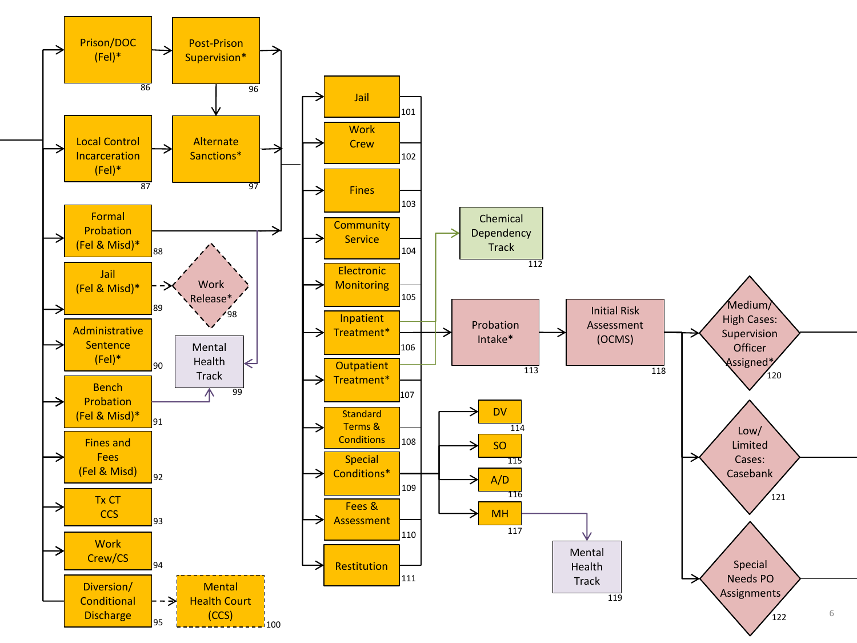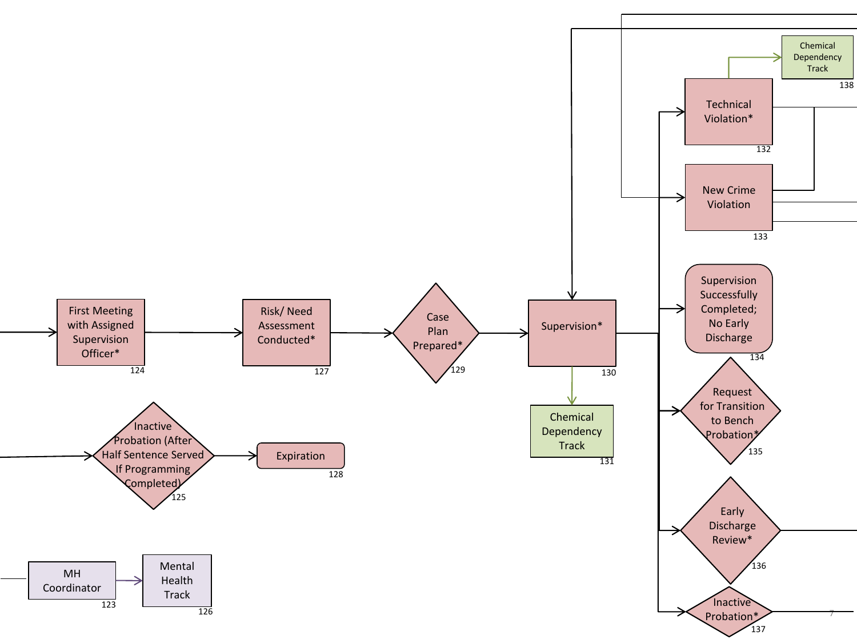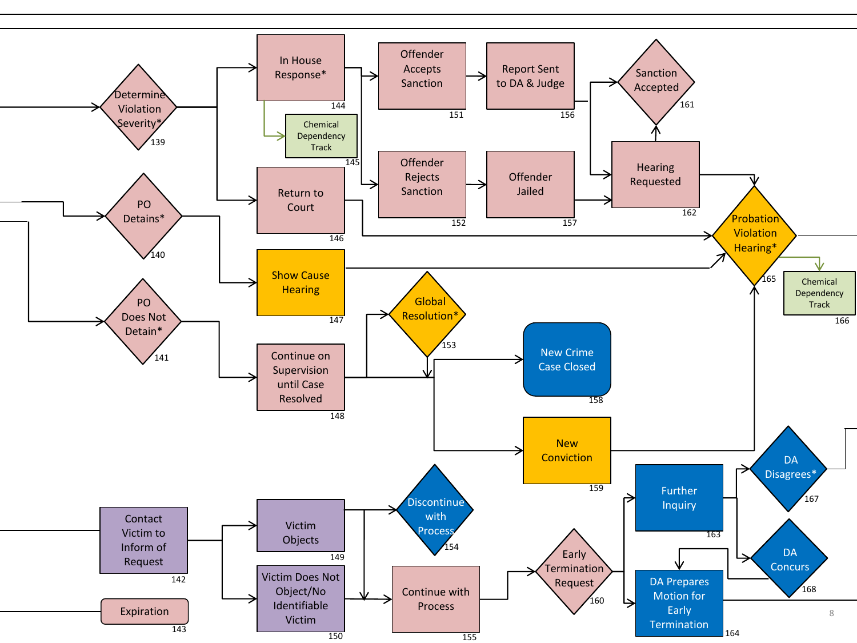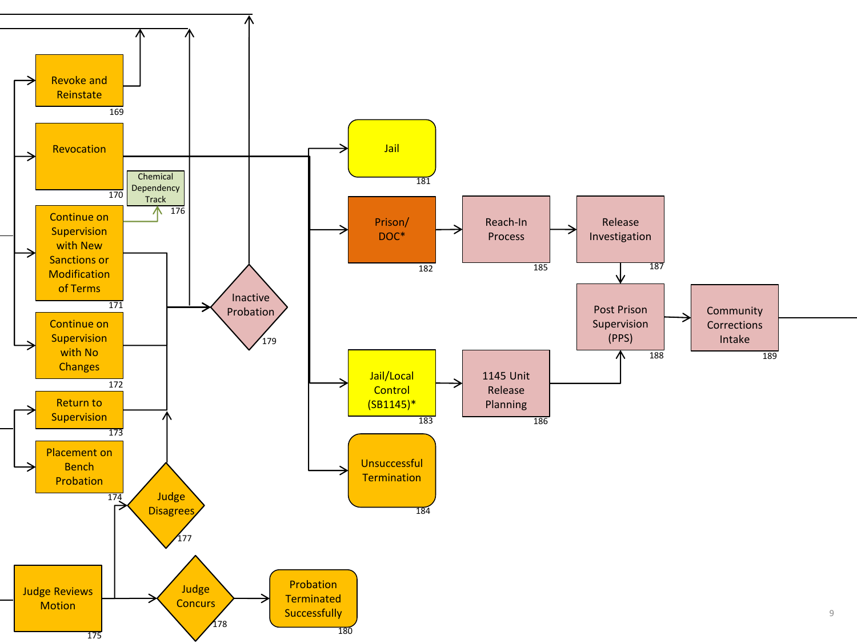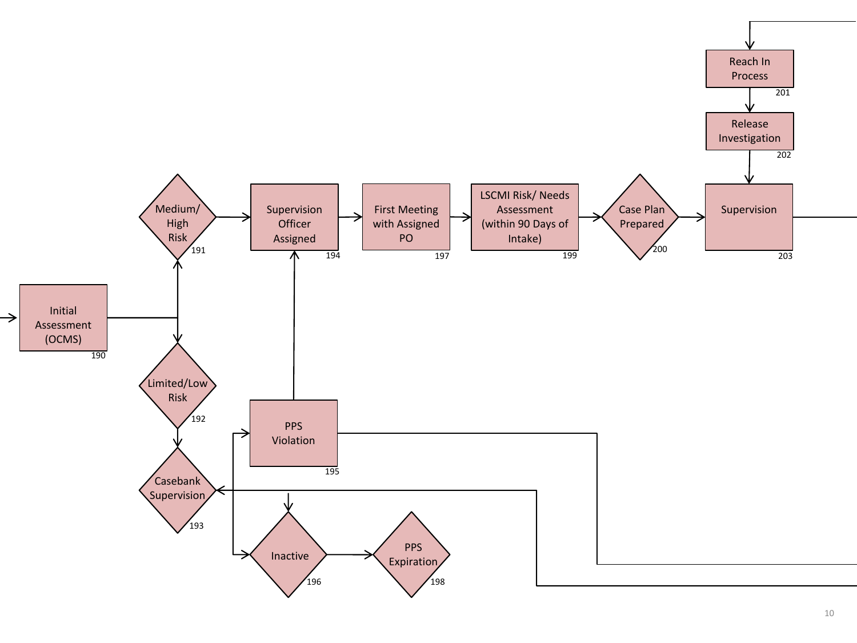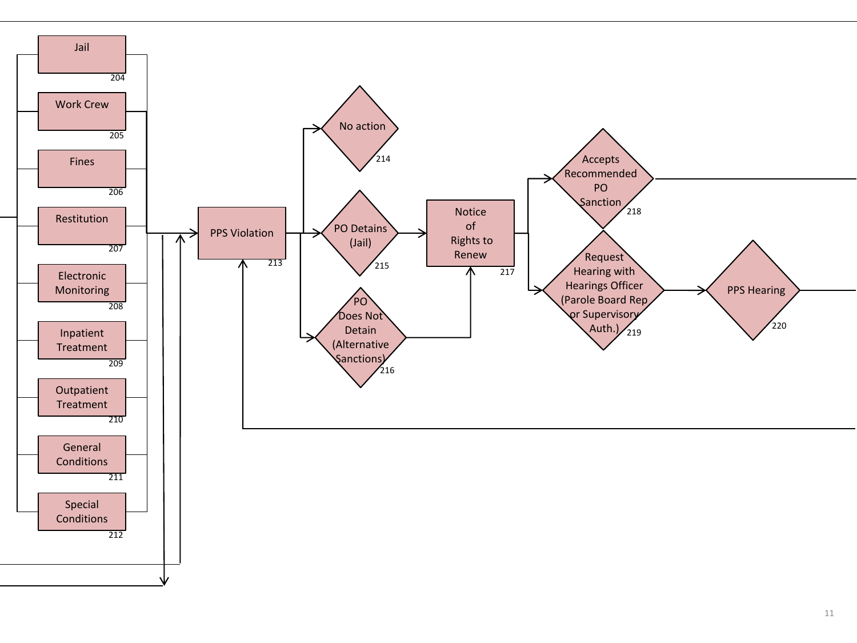